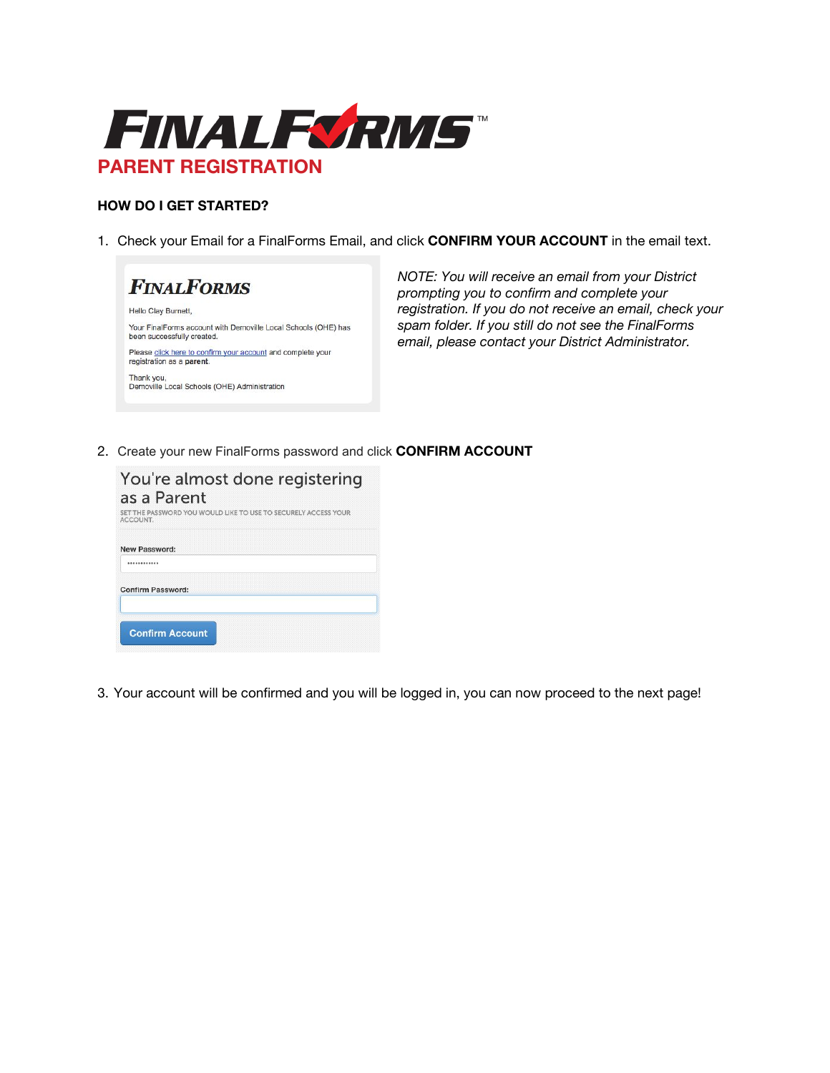

## **HOW DO I GET STARTED?**

1. Check your Email for a FinalForms Email, and click **CONFIRM YOUR ACCOUNT** in the email text.



*NOTE: You will receive an email from your District prompting you to confirm and complete your registration. If you do not receive an email, check your spam folder. If you still do not see the FinalForms email, please contact your District Administrator.*

2. Create your new FinalForms password and click **CONFIRM ACCOUNT**

| You're almost done registering<br>as a Parent<br>SET THE PASSWORD YOU WOULD LIKE TO USE TO SECURELY ACCESS YOUR |
|-----------------------------------------------------------------------------------------------------------------|
| ACCOUNT.                                                                                                        |
| New Password:                                                                                                   |
|                                                                                                                 |
| <b>Confirm Password:</b>                                                                                        |
| <b>Confirm Account</b>                                                                                          |

3. Your account will be confirmed and you will be logged in, you can now proceed to the next page!